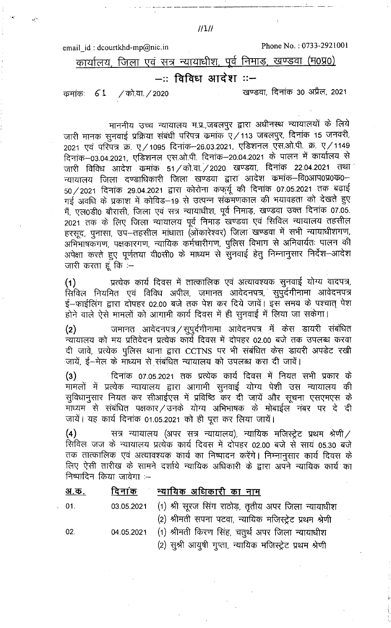email\_id: dcourtkhd-mp@nic.in

Phone No.: 0733-2921001

कार्यालय, जिला एवं सत्र न्यायाधीश, पूर्व निमाड, खण्डवा (म0प्र0)

## —:: विविध आदेश ::—

/ को.वा. / 2020 कमांकः  $61$ 

खण्डवा, दिनांक 30 अप्रैल, 2021

माननीय उच्च न्यायालय म.प्र.,जबलपुर द्वारा अधीनस्थ न्यायालयों के लिये जारी मानक सुनवाई प्रक्रिया संबंधी परिपत्र कमांक ए/113 जबलपुर, दिनांक 15 जनवरी, 2021 एवं परिपत्र क्र. ए/1095 दिनांक-26.03.2021, एडिशनल एँस.ओ.पी. क्र. ए/1149 दिनांक-03.04.2021, एडिशनल एस.ओ.पी. दिनांक-20.04.2021 के पालन में कार्यालय से जारी विविध आदेश कमांक 51/को.वा./2020 खण्डवा, दिनांक 22.04.2021 तथा न्यायालय जिला दण्डाधिकारी जिला खण्डवा द्वारा आदेश कमांक–वि0आप0प्र0क0– 50 / 2021 दिनांक 29.04.2021 द्वारा कोरोना कफ़र्यू की दिनांक 07.05.2021 तक बढ़ाई गई अवधि के प्रकाश में कोविड–19 से उत्पन्न संकमणकाल की भयावहता को देखते हुए में, एल0डी0 बौरासी, जिला एवं सत्र न्यायाधीश, पूर्व निमाड़, खण्डवा उक्त दिनांक 07.05. 2021 तक के लिए जिला न्यायालय पूर्व निमाड़ खण्डवा एवं सिविल न्यायालय तहसील हरसूद, पुनासा, उप-तहसील मांधाता (ओंकारेश्वर) जिला खण्डवा में सभी न्यायाधीशगण, अभिभाषकगण, पक्षकारगण, न्यायिक कर्मचारीगण, पुलिस विभाग से अनिवार्यतः पालन की अपेक्षा करते हुए पूर्णतया वी0सी0 के माध्यम से सुनवाई हेतु निम्नानुसार निर्देश-आदेश जारी करता हूं कि :–

प्रत्येक कार्य दिवस में तात्कालिक एवं अत्यावश्यक सुनवाई योग्य वादपत्र,  $(1)$ सिविल नियमित एवं विविध अपील, जमानत आवेदनपत्र, सुपुर्दगीनामा आवेदनपत्र ई–फाईलिंग द्वारा दोपहर 02.00 बजे तक पेश कर दिये जावें। इस समय के पश्चात् पेश होने वाले ऐसे मामलों को आगामी कार्य दिवस में ही सूनवाई में लिया जा सकेगा।

जमानत आवेदनपत्र / सुपुर्दगीनामा आवेदनपत्र में केस डायरी संबंधित  $(2)$ न्यायालय को मय प्रतिवेदन प्रत्येक कार्य दिवस में दोपहर 02.00 बजे तक उपलब्ध करवा दी जावे, प्रत्येक पुलिस थाना द्वारा CCTNS पर भी संबंधित केस डायरी अपडेट रखी जायें, ई—मेल के माध्यम से संबंधित न्यायालय को उपलब्ध करा दी जावें।

ंदिनांक 07.05.2021 तक प्रत्येक कार्य दिवस में नियत सभी प्रकार के  $(3)$ मामलों में प्रत्येक न्यायालय द्वारा आगामी सुनवाई योग्य पेशी उस न्यायालय की सुविधानुसार नियत कर सीआईएस में प्रविष्ठि कर दी जायें और सूचना एसएमएस के माध्यम से संबंधित पक्षकार/उनके योग्य अभिभाषक के मोबाईल नंबर पर दे दी जायें। यह कार्य दिनांक 01.05.2021 को ही पूरा कर लिया जायें।

 $(4)$ सत्र न्यायालय (अपर सत्र न्यायालय), न्यायिक मजिस्ट्रेट प्रथम श्रेणी / सिविल जज के न्यायालय प्रत्येक कार्य दिवस में दोपहर 02.00 बजे से सायं 05.30 बजे तक तात्कालिक एवं अत्यावश्यक कार्य का निष्पादन करेंगे। निम्नानुसार कार्य दिवस के लिए ऐसी तारीख के सामने दर्शाये न्यायिक अधिकारी के द्वारा अपने न्यायिक कार्य का निष्पादिन किया जावेगा :--

| <u>अ.क.</u> |            | <u>दिनांक न्यायिक अधिकारी का नाम</u>                           |
|-------------|------------|----------------------------------------------------------------|
| 01.         |            | 03.05.2021 (1) श्री सूरज सिंग राठोड़, तृतीय अपर जिला न्यायाधीश |
|             |            | (2) श्रीमती सपना पटवा, न्यायिक मजिस्ट्रेट प्रथम श्रेणी         |
| 02.         | 04.05.2021 | (1) श्रीमती किरण सिंह, चतुर्थ अपर जिला न्यायाधीश               |
|             |            | (2) सुश्री आयुषी गुप्ता, न्यायिक मजिस्ट्रेट प्रथम श्रेणी       |

 $1/11/1$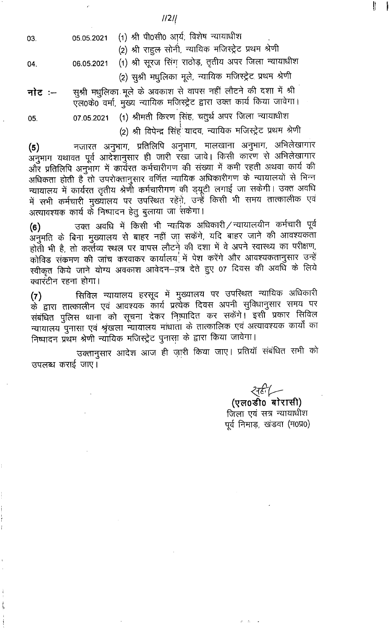₩

 $1/21/$ 

03.

04.

- (1) श्री पी0सी0 आर्य, विशेष न्यायाधीश 05.05.2021
	- (2) श्री राहुल सोनी, न्यायिक मजिस्ट्रेट प्रथम श्रेणी
	- (1) श्री सूरज सिंग राठोड़, तृतीय अपर जिला न्यायाधीश 06.05.2021
		- (2) सुश्री मधुलिका मूले, न्यायिक मजिस्ट्रेट प्रथम श्रेणी
- सूश्री मधुलिका मूले के अवकाश से वापस नहीं लौटने की दशा में श्री नोट $:$ – एल0के0 वर्मा, मुख्य न्यायिक मजिस्ट्रेट द्वारा उक्त कार्य किया जावेगा।
- (1) श्रीमती किरण सिंह, चतुर्थ अपर जिला न्यायाधीश 07.05.2021 05. (2) श्री विपेन्द्र सिंह<sup>ं-</sup>यादव, न्यायिक मजिस्ट्रेट प्रथम श्रेणी

नजारत अनुभाग, प्रतिलिपि अनुभाग, मालखाना अनुभाग, अभिलेखागार  $(5)$ अनुभाग यथावत पूर्व आदेशानुसार ही जारी रखा जावे। किसी कारण से अभिलेखागार और प्रतिलिपि अनुभाग में कार्यरत कर्मचारीगण की संख्या में कमी रहती अथवा कार्य की अधिकता होती है तो उपरोक्तानुसार वर्णित न्यायिक अधिकारीगण के न्यायालयों से भिन्न न्यायालय में कार्यरत तृतीय श्रेणी कर्मचारीगण की ड्यूटी लगाई जा सकेगी। उक्त अवधि में सभी कर्मचारी मुख्यालय पर उपरिथत रहेंगे, उन्हें किसी भी समय तात्कालीक एवं अत्यावश्यक कार्य के निष्पादन हेतू बुलाया जा सकेगा।

उक्त अवधि में किसी भी न्यायिक अधिकारी / न्यायालयीन कर्मचारी पूर्व  $(6)$ अनुमति के बिना मुख्यालय से बाहर नहीं जा सकेंगे, यदि बाहर जाने की आवश्यकता होती भी है, तो कर्त्तव्य स्थल पर वापस लौटने की दशा में वे अपने स्वास्थ्य का परीक्षण, कोविड संक्रमण की जांच करवाकर कार्यालय<sup>ं</sup> में पेश करेंगे और आवश्यकतानुसार उन्हें स्वीकृत किये जाने योग्य अवकाश आवेदन–़ात्र देते हुए 07 दिवस की अवधि के लिये क्वारंटीन रहना होगा।

सिविल न्यायालय हरसूद में मुख्यालय पर उपरिथत न्यायिक अधिकारी  $(7)$ के द्वारा तात्कालीन एवं आवश्यक कार्य प्रत्येक दिवस अपनी सुविधानुसार समय पर संबंधित पुलिस थाना को सूचना देकर निष्पादित कर सकेंगे। इसी प्रकार सिविल न्यायालय पुनासा एवं श्रृंखला न्यायालय मांधाता के तात्कालिक एवं अत्यावश्यक कार्यों का निष्पादन प्रथम श्रेणी न्यायिक मजिस्ट्रेट पुनासा के द्वारा किया जावेगा।

उक्तानुसार आदेश आज ही ज़ारी किया जाए। प्रतियॉ संबंधित सभी को उपलब्ध कराई जाए।

र्नही $\smash{\smash{\smash{\underset{^\smile}{\mathcal{H}\varepsilon\mathcal{H}}}\vphantom{\smash{\overset{\smile}{\mathcal{F}}}}\mathcal{F}}}$ 

(एल0डी0 बोरासी) जिला एवं सत्र न्यायाधीश पूर्व निमाड़, खंडवा (म0प्र0)